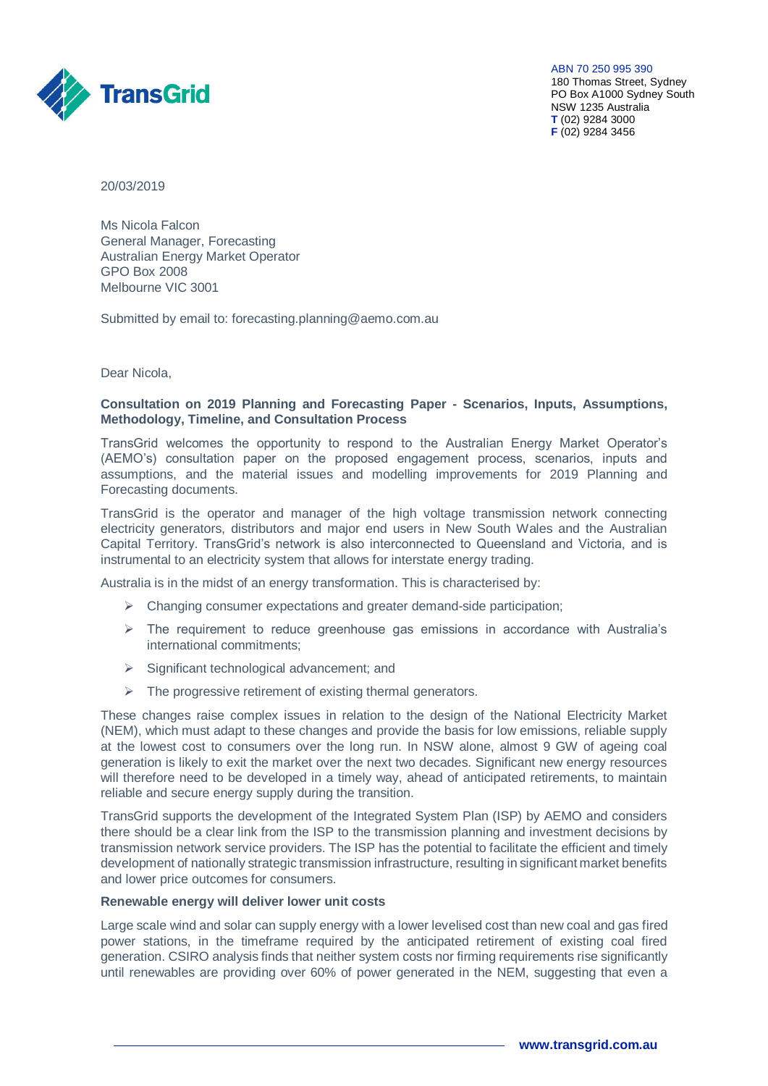

ABN 70 250 995 390 180 Thomas Street, Sydney PO Box A1000 Sydney South NSW 1235 Australia **T** (02) 9284 3000 **F** (02) 9284 3456

20/03/2019

Ms Nicola Falcon General Manager, Forecasting Australian Energy Market Operator GPO Box 2008 Melbourne VIC 3001

Submitted by email to: forecasting.planning@aemo.com.au

Dear Nicola,

### **Consultation on 2019 Planning and Forecasting Paper - Scenarios, Inputs, Assumptions, Methodology, Timeline, and Consultation Process**

TransGrid welcomes the opportunity to respond to the Australian Energy Market Operator's (AEMO's) consultation paper on the proposed engagement process, scenarios, inputs and assumptions, and the material issues and modelling improvements for 2019 Planning and Forecasting documents.

TransGrid is the operator and manager of the high voltage transmission network connecting electricity generators, distributors and major end users in New South Wales and the Australian Capital Territory. TransGrid's network is also interconnected to Queensland and Victoria, and is instrumental to an electricity system that allows for interstate energy trading.

Australia is in the midst of an energy transformation. This is characterised by:

- $\triangleright$  Changing consumer expectations and greater demand-side participation;
- $\triangleright$  The requirement to reduce greenhouse gas emissions in accordance with Australia's international commitments;
- $\triangleright$  Significant technological advancement; and
- $\triangleright$  The progressive retirement of existing thermal generators.

These changes raise complex issues in relation to the design of the National Electricity Market (NEM), which must adapt to these changes and provide the basis for low emissions, reliable supply at the lowest cost to consumers over the long run. In NSW alone, almost 9 GW of ageing coal generation is likely to exit the market over the next two decades. Significant new energy resources will therefore need to be developed in a timely way, ahead of anticipated retirements, to maintain reliable and secure energy supply during the transition.

TransGrid supports the development of the Integrated System Plan (ISP) by AEMO and considers there should be a clear link from the ISP to the transmission planning and investment decisions by transmission network service providers. The ISP has the potential to facilitate the efficient and timely development of nationally strategic transmission infrastructure, resulting in significant market benefits and lower price outcomes for consumers.

### **Renewable energy will deliver lower unit costs**

Large scale wind and solar can supply energy with a lower levelised cost than new coal and gas fired power stations, in the timeframe required by the anticipated retirement of existing coal fired generation. CSIRO analysis finds that neither system costs nor firming requirements rise significantly until renewables are providing over 60% of power generated in the NEM, suggesting that even a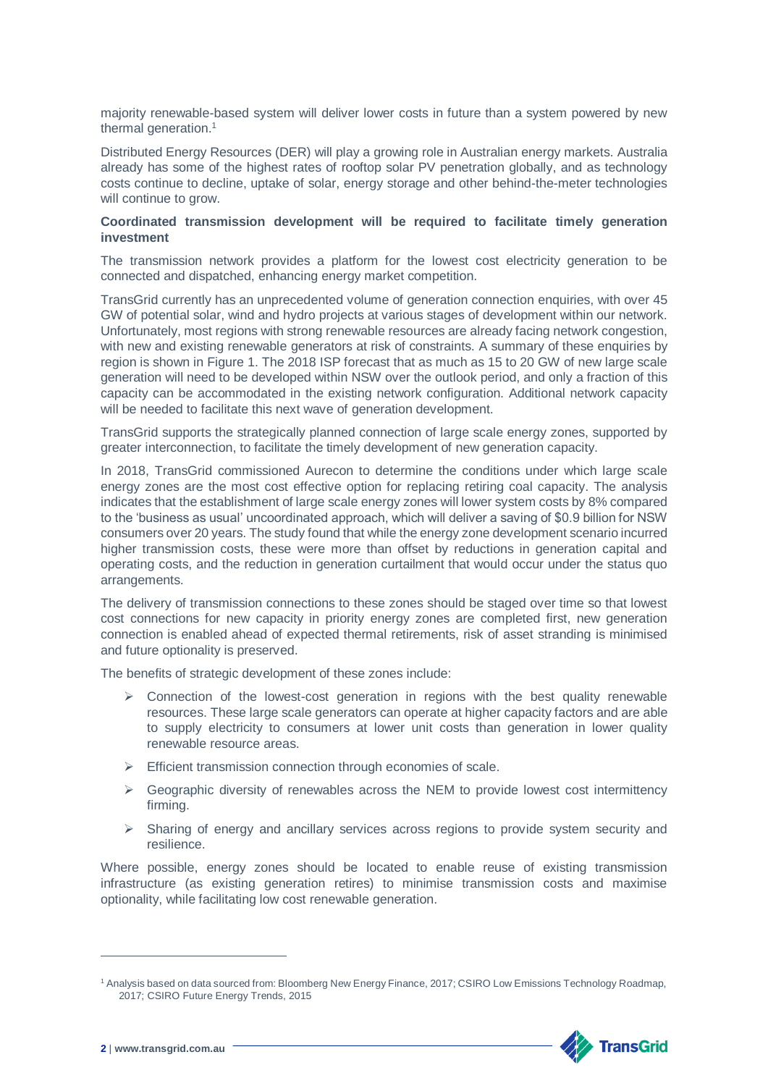majority renewable-based system will deliver lower costs in future than a system powered by new thermal generation.<sup>1</sup>

Distributed Energy Resources (DER) will play a growing role in Australian energy markets. Australia already has some of the highest rates of rooftop solar PV penetration globally, and as technology costs continue to decline, uptake of solar, energy storage and other behind-the-meter technologies will continue to grow.

## **Coordinated transmission development will be required to facilitate timely generation investment**

The transmission network provides a platform for the lowest cost electricity generation to be connected and dispatched, enhancing energy market competition.

TransGrid currently has an unprecedented volume of generation connection enquiries, with over 45 GW of potential solar, wind and hydro projects at various stages of development within our network. Unfortunately, most regions with strong renewable resources are already facing network congestion, with new and existing renewable generators at risk of constraints. A summary of these enquiries by region is shown in Figure 1. The 2018 ISP forecast that as much as 15 to 20 GW of new large scale generation will need to be developed within NSW over the outlook period, and only a fraction of this capacity can be accommodated in the existing network configuration. Additional network capacity will be needed to facilitate this next wave of generation development.

TransGrid supports the strategically planned connection of large scale energy zones, supported by greater interconnection, to facilitate the timely development of new generation capacity.

In 2018, TransGrid commissioned Aurecon to determine the conditions under which large scale energy zones are the most cost effective option for replacing retiring coal capacity. The analysis indicates that the establishment of large scale energy zones will lower system costs by 8% compared to the 'business as usual' uncoordinated approach, which will deliver a saving of \$0.9 billion for NSW consumers over 20 years. The study found that while the energy zone development scenario incurred higher transmission costs, these were more than offset by reductions in generation capital and operating costs, and the reduction in generation curtailment that would occur under the status quo arrangements.

The delivery of transmission connections to these zones should be staged over time so that lowest cost connections for new capacity in priority energy zones are completed first, new generation connection is enabled ahead of expected thermal retirements, risk of asset stranding is minimised and future optionality is preserved.

The benefits of strategic development of these zones include:

- $\triangleright$  Connection of the lowest-cost generation in regions with the best quality renewable resources. These large scale generators can operate at higher capacity factors and are able to supply electricity to consumers at lower unit costs than generation in lower quality renewable resource areas.
- $\triangleright$  Efficient transmission connection through economies of scale.
- $\triangleright$  Geographic diversity of renewables across the NEM to provide lowest cost intermittency firming.
- $\triangleright$  Sharing of energy and ancillary services across regions to provide system security and resilience.

Where possible, energy zones should be located to enable reuse of existing transmission infrastructure (as existing generation retires) to minimise transmission costs and maximise optionality, while facilitating low cost renewable generation.

<sup>1</sup> Analysis based on data sourced from: Bloomberg New Energy Finance, 2017; CSIRO Low Emissions Technology Roadmap, 2017; CSIRO Future Energy Trends, 2015



-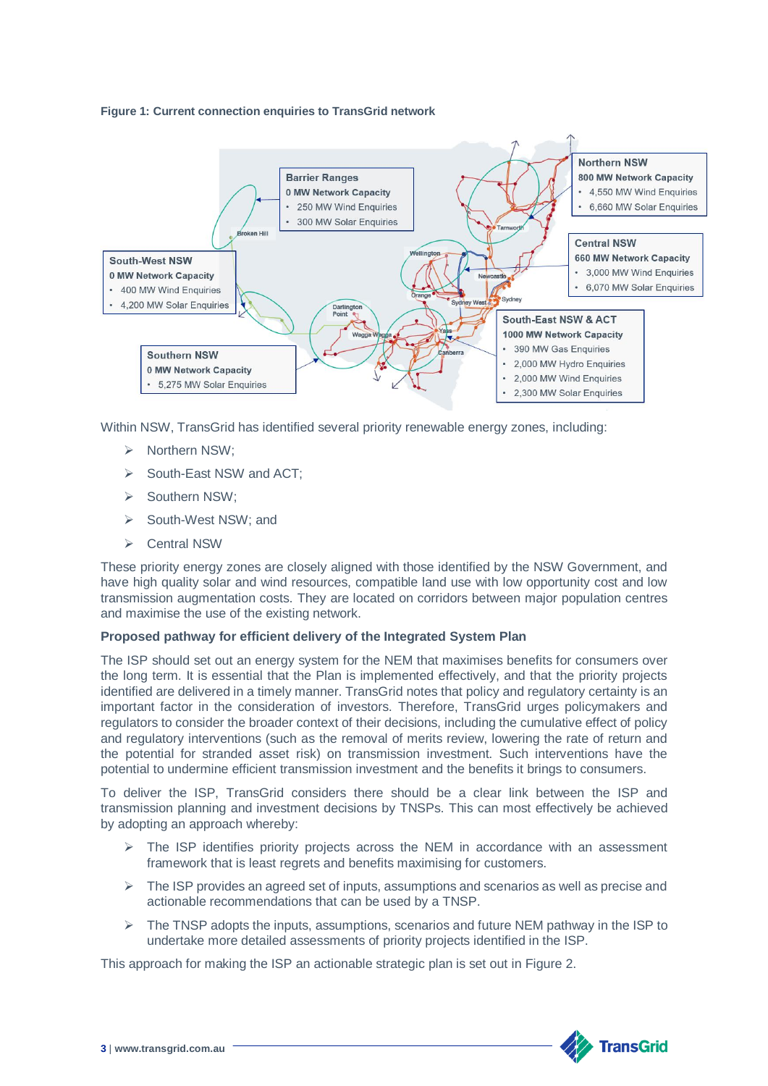#### **Figure 1: Current connection enquiries to TransGrid network**



Within NSW, TransGrid has identified several priority renewable energy zones, including:

- > Northern NSW:
- South-East NSW and ACT;
- > Southern NSW;
- South-West NSW; and
- ▶ Central NSW

These priority energy zones are closely aligned with those identified by the NSW Government, and have high quality solar and wind resources, compatible land use with low opportunity cost and low transmission augmentation costs. They are located on corridors between major population centres and maximise the use of the existing network.

### **Proposed pathway for efficient delivery of the Integrated System Plan**

The ISP should set out an energy system for the NEM that maximises benefits for consumers over the long term. It is essential that the Plan is implemented effectively, and that the priority projects identified are delivered in a timely manner. TransGrid notes that policy and regulatory certainty is an important factor in the consideration of investors. Therefore, TransGrid urges policymakers and regulators to consider the broader context of their decisions, including the cumulative effect of policy and regulatory interventions (such as the removal of merits review, lowering the rate of return and the potential for stranded asset risk) on transmission investment. Such interventions have the potential to undermine efficient transmission investment and the benefits it brings to consumers.

To deliver the ISP, TransGrid considers there should be a clear link between the ISP and transmission planning and investment decisions by TNSPs. This can most effectively be achieved by adopting an approach whereby:

- $\triangleright$  The ISP identifies priority projects across the NEM in accordance with an assessment framework that is least regrets and benefits maximising for customers.
- $\triangleright$  The ISP provides an agreed set of inputs, assumptions and scenarios as well as precise and actionable recommendations that can be used by a TNSP.
- $\triangleright$  The TNSP adopts the inputs, assumptions, scenarios and future NEM pathway in the ISP to undertake more detailed assessments of priority projects identified in the ISP.

This approach for making the ISP an actionable strategic plan is set out in [Figure 2.](#page-3-0)

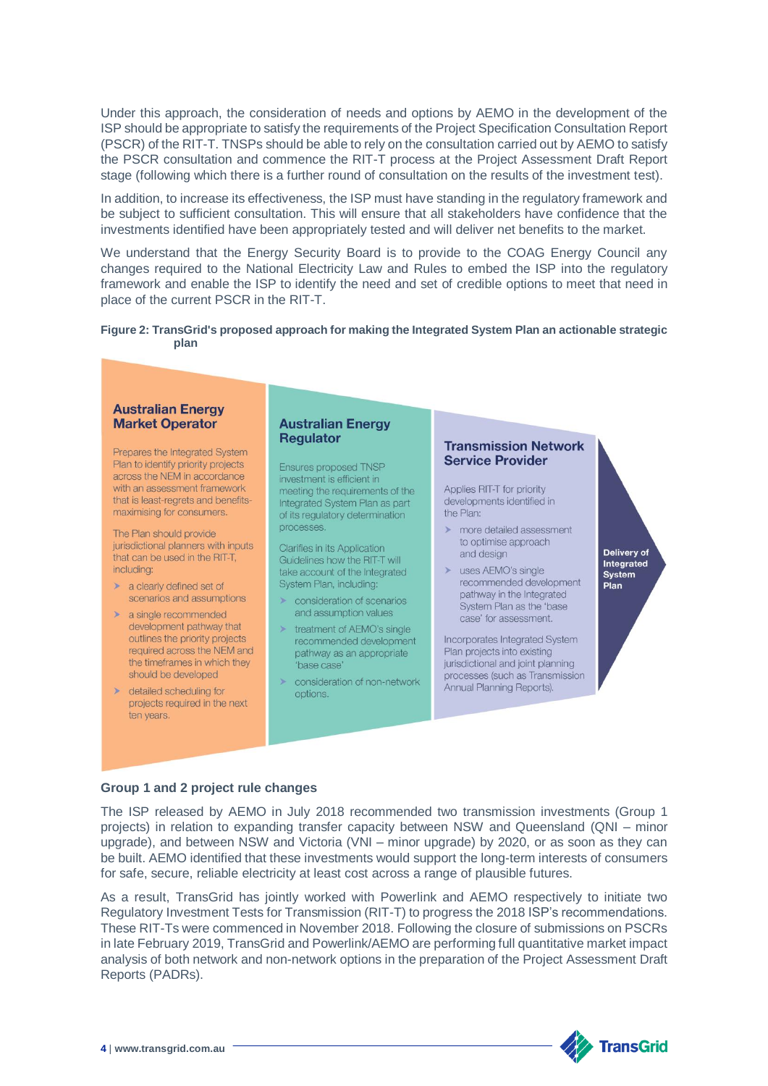Under this approach, the consideration of needs and options by AEMO in the development of the ISP should be appropriate to satisfy the requirements of the Project Specification Consultation Report (PSCR) of the RIT-T. TNSPs should be able to rely on the consultation carried out by AEMO to satisfy the PSCR consultation and commence the RIT-T process at the Project Assessment Draft Report stage (following which there is a further round of consultation on the results of the investment test).

In addition, to increase its effectiveness, the ISP must have standing in the regulatory framework and be subject to sufficient consultation. This will ensure that all stakeholders have confidence that the investments identified have been appropriately tested and will deliver net benefits to the market.

We understand that the Energy Security Board is to provide to the COAG Energy Council any changes required to the National Electricity Law and Rules to embed the ISP into the regulatory framework and enable the ISP to identify the need and set of credible options to meet that need in place of the current PSCR in the RIT-T.

### <span id="page-3-0"></span>**Figure 2: TransGrid's proposed approach for making the Integrated System Plan an actionable strategic plan**



## **Group 1 and 2 project rule changes**

The ISP released by AEMO in July 2018 recommended two transmission investments (Group 1 projects) in relation to expanding transfer capacity between NSW and Queensland (QNI – minor upgrade), and between NSW and Victoria (VNI – minor upgrade) by 2020, or as soon as they can be built. AEMO identified that these investments would support the long-term interests of consumers for safe, secure, reliable electricity at least cost across a range of plausible futures.

As a result, TransGrid has jointly worked with Powerlink and AEMO respectively to initiate two Regulatory Investment Tests for Transmission (RIT-T) to progress the 2018 ISP's recommendations. These RIT-Ts were commenced in November 2018. Following the closure of submissions on PSCRs in late February 2019, TransGrid and Powerlink/AEMO are performing full quantitative market impact analysis of both network and non-network options in the preparation of the Project Assessment Draft Reports (PADRs).

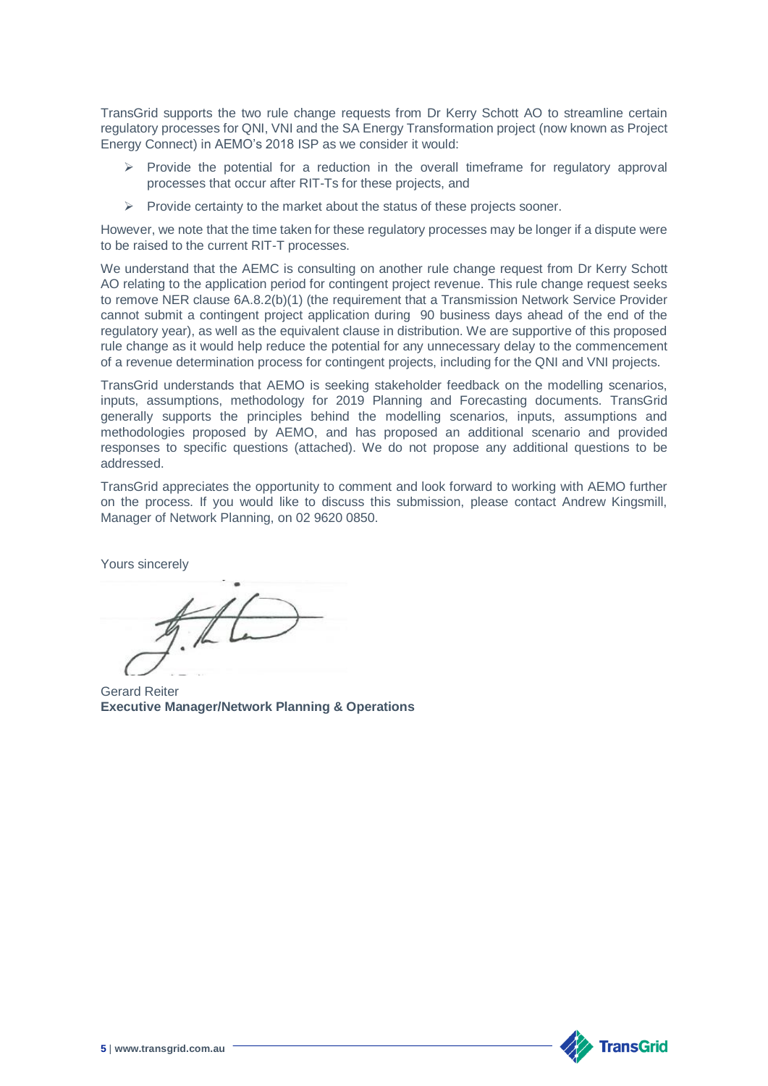TransGrid supports the two rule change requests from Dr Kerry Schott AO to streamline certain regulatory processes for QNI, VNI and the SA Energy Transformation project (now known as Project Energy Connect) in AEMO's 2018 ISP as we consider it would:

- $\triangleright$  Provide the potential for a reduction in the overall timeframe for regulatory approval processes that occur after RIT-Ts for these projects, and
- $\triangleright$  Provide certainty to the market about the status of these projects sooner.

However, we note that the time taken for these regulatory processes may be longer if a dispute were to be raised to the current RIT-T processes.

We understand that the AEMC is consulting on another rule change request from Dr Kerry Schott AO relating to the application period for contingent project revenue. This rule change request seeks to remove NER clause 6A.8.2(b)(1) (the requirement that a Transmission Network Service Provider cannot submit a contingent project application during 90 business days ahead of the end of the regulatory year), as well as the equivalent clause in distribution. We are supportive of this proposed rule change as it would help reduce the potential for any unnecessary delay to the commencement of a revenue determination process for contingent projects, including for the QNI and VNI projects.

TransGrid understands that AEMO is seeking stakeholder feedback on the modelling scenarios, inputs, assumptions, methodology for 2019 Planning and Forecasting documents. TransGrid generally supports the principles behind the modelling scenarios, inputs, assumptions and methodologies proposed by AEMO, and has proposed an additional scenario and provided responses to specific questions (attached). We do not propose any additional questions to be addressed.

TransGrid appreciates the opportunity to comment and look forward to working with AEMO further on the process. If you would like to discuss this submission, please contact Andrew Kingsmill, Manager of Network Planning, on 02 9620 0850.

Yours sincerely

Gerard Reiter **Executive Manager/Network Planning & Operations**

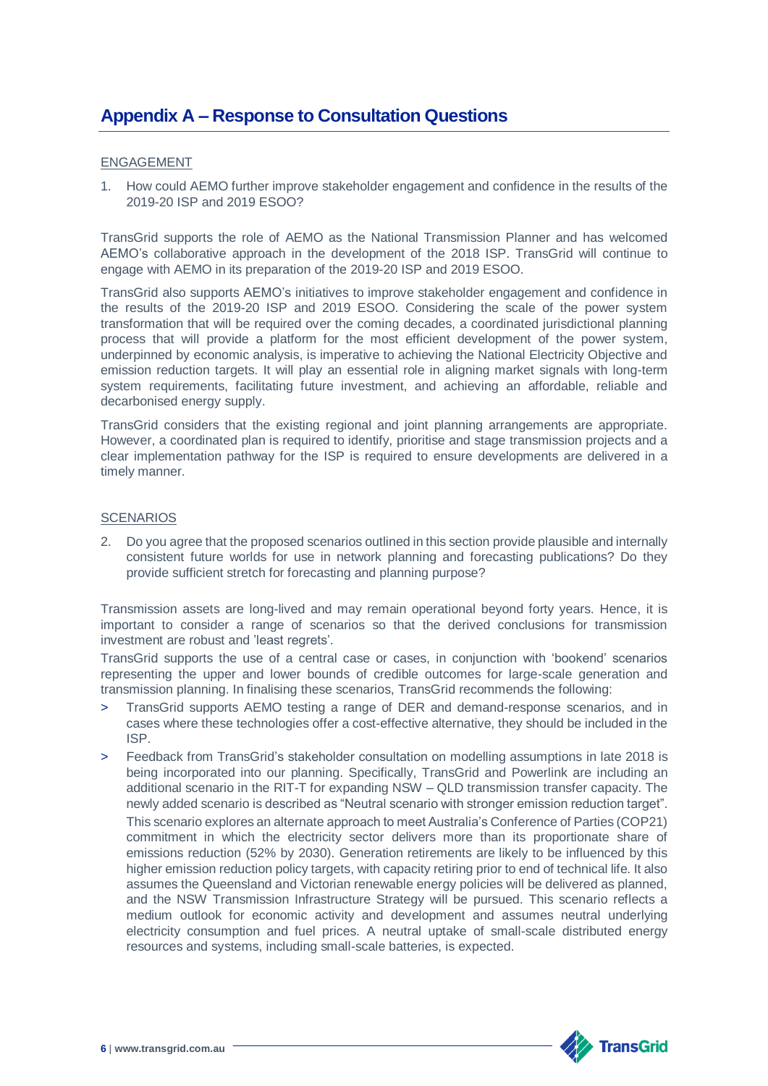# **Appendix A – Response to Consultation Questions**

### ENGAGEMENT

1. How could AEMO further improve stakeholder engagement and confidence in the results of the 2019-20 ISP and 2019 ESOO?

TransGrid supports the role of AEMO as the National Transmission Planner and has welcomed AEMO's collaborative approach in the development of the 2018 ISP. TransGrid will continue to engage with AEMO in its preparation of the 2019-20 ISP and 2019 ESOO.

TransGrid also supports AEMO's initiatives to improve stakeholder engagement and confidence in the results of the 2019-20 ISP and 2019 ESOO. Considering the scale of the power system transformation that will be required over the coming decades, a coordinated jurisdictional planning process that will provide a platform for the most efficient development of the power system, underpinned by economic analysis, is imperative to achieving the National Electricity Objective and emission reduction targets. It will play an essential role in aligning market signals with long-term system requirements, facilitating future investment, and achieving an affordable, reliable and decarbonised energy supply.

TransGrid considers that the existing regional and joint planning arrangements are appropriate. However, a coordinated plan is required to identify, prioritise and stage transmission projects and a clear implementation pathway for the ISP is required to ensure developments are delivered in a timely manner.

## **SCENARIOS**

2. Do you agree that the proposed scenarios outlined in this section provide plausible and internally consistent future worlds for use in network planning and forecasting publications? Do they provide sufficient stretch for forecasting and planning purpose?

Transmission assets are long-lived and may remain operational beyond forty years. Hence, it is important to consider a range of scenarios so that the derived conclusions for transmission investment are robust and 'least regrets'.

TransGrid supports the use of a central case or cases, in conjunction with 'bookend' scenarios representing the upper and lower bounds of credible outcomes for large-scale generation and transmission planning. In finalising these scenarios, TransGrid recommends the following:

- > TransGrid supports AEMO testing a range of DER and demand-response scenarios, and in cases where these technologies offer a cost-effective alternative, they should be included in the ISP.
- > Feedback from TransGrid's stakeholder consultation on modelling assumptions in late 2018 is being incorporated into our planning. Specifically, TransGrid and Powerlink are including an additional scenario in the RIT-T for expanding NSW – QLD transmission transfer capacity. The newly added scenario is described as "Neutral scenario with stronger emission reduction target". This scenario explores an alternate approach to meet Australia's Conference of Parties (COP21) commitment in which the electricity sector delivers more than its proportionate share of emissions reduction (52% by 2030). Generation retirements are likely to be influenced by this higher emission reduction policy targets, with capacity retiring prior to end of technical life. It also assumes the Queensland and Victorian renewable energy policies will be delivered as planned, and the NSW Transmission Infrastructure Strategy will be pursued. This scenario reflects a medium outlook for economic activity and development and assumes neutral underlying electricity consumption and fuel prices. A neutral uptake of small-scale distributed energy resources and systems, including small-scale batteries, is expected.

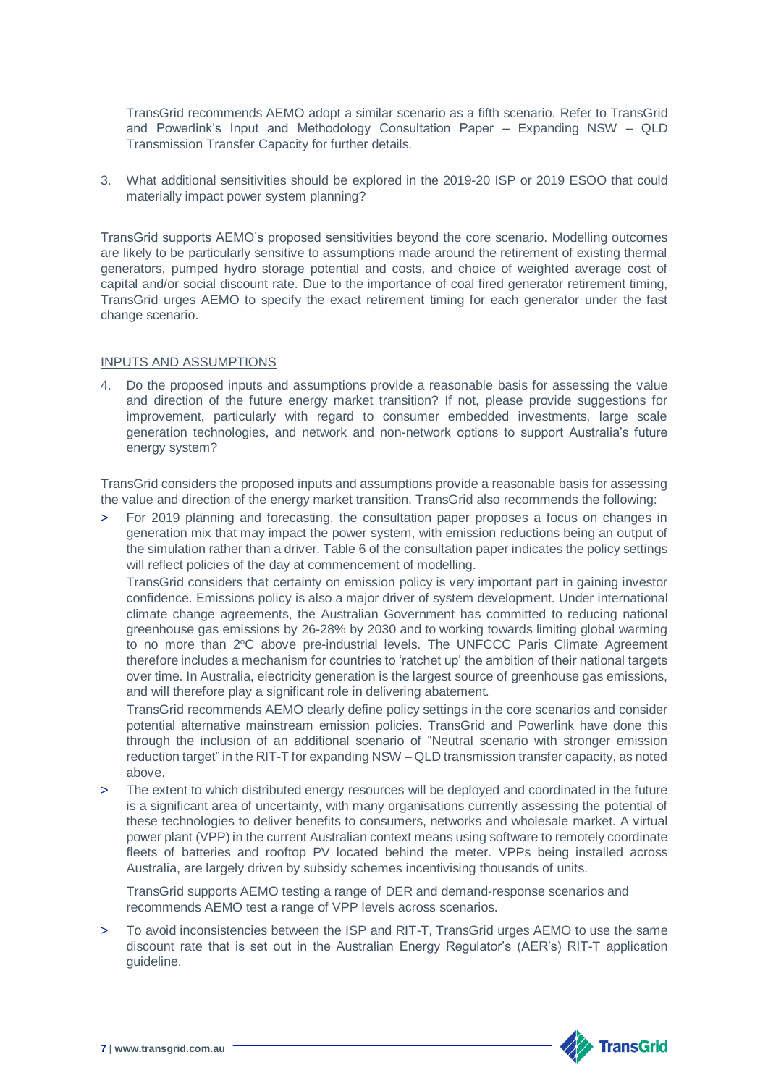TransGrid recommends AEMO adopt a similar scenario as a fifth scenario. Refer to TransGrid and Powerlink's Input and Methodology Consultation Paper – Expanding NSW – QLD Transmission Transfer Capacity for further details.

3. What additional sensitivities should be explored in the 2019-20 ISP or 2019 ESOO that could materially impact power system planning?

TransGrid supports AEMO's proposed sensitivities beyond the core scenario. Modelling outcomes are likely to be particularly sensitive to assumptions made around the retirement of existing thermal generators, pumped hydro storage potential and costs, and choice of weighted average cost of capital and/or social discount rate. Due to the importance of coal fired generator retirement timing, TransGrid urges AEMO to specify the exact retirement timing for each generator under the fast change scenario.

## INPUTS AND ASSUMPTIONS

4. Do the proposed inputs and assumptions provide a reasonable basis for assessing the value and direction of the future energy market transition? If not, please provide suggestions for improvement, particularly with regard to consumer embedded investments, large scale generation technologies, and network and non-network options to support Australia's future energy system?

TransGrid considers the proposed inputs and assumptions provide a reasonable basis for assessing the value and direction of the energy market transition. TransGrid also recommends the following:

> For 2019 planning and forecasting, the consultation paper proposes a focus on changes in generation mix that may impact the power system, with emission reductions being an output of the simulation rather than a driver. Table 6 of the consultation paper indicates the policy settings will reflect policies of the day at commencement of modelling.

TransGrid considers that certainty on emission policy is very important part in gaining investor confidence. Emissions policy is also a major driver of system development. Under international climate change agreements, the Australian Government has committed to reducing national greenhouse gas emissions by 26-28% by 2030 and to working towards limiting global warming to no more than 2°C above pre-industrial levels. The UNFCCC Paris Climate Agreement therefore includes a mechanism for countries to 'ratchet up' the ambition of their national targets over time. In Australia, electricity generation is the largest source of greenhouse gas emissions, and will therefore play a significant role in delivering abatement.

TransGrid recommends AEMO clearly define policy settings in the core scenarios and consider potential alternative mainstream emission policies. TransGrid and Powerlink have done this through the inclusion of an additional scenario of "Neutral scenario with stronger emission reduction target" in the RIT-T for expanding NSW – QLD transmission transfer capacity, as noted above.

> The extent to which distributed energy resources will be deployed and coordinated in the future is a significant area of uncertainty, with many organisations currently assessing the potential of these technologies to deliver benefits to consumers, networks and wholesale market. A virtual power plant (VPP) in the current Australian context means using software to remotely coordinate fleets of batteries and rooftop PV located behind the meter. VPPs being installed across Australia, are largely driven by subsidy schemes incentivising thousands of units.

TransGrid supports AEMO testing a range of DER and demand-response scenarios and recommends AEMO test a range of VPP levels across scenarios.

> To avoid inconsistencies between the ISP and RIT-T, TransGrid urges AEMO to use the same discount rate that is set out in the Australian Energy Regulator's (AER's) RIT-T application guideline.

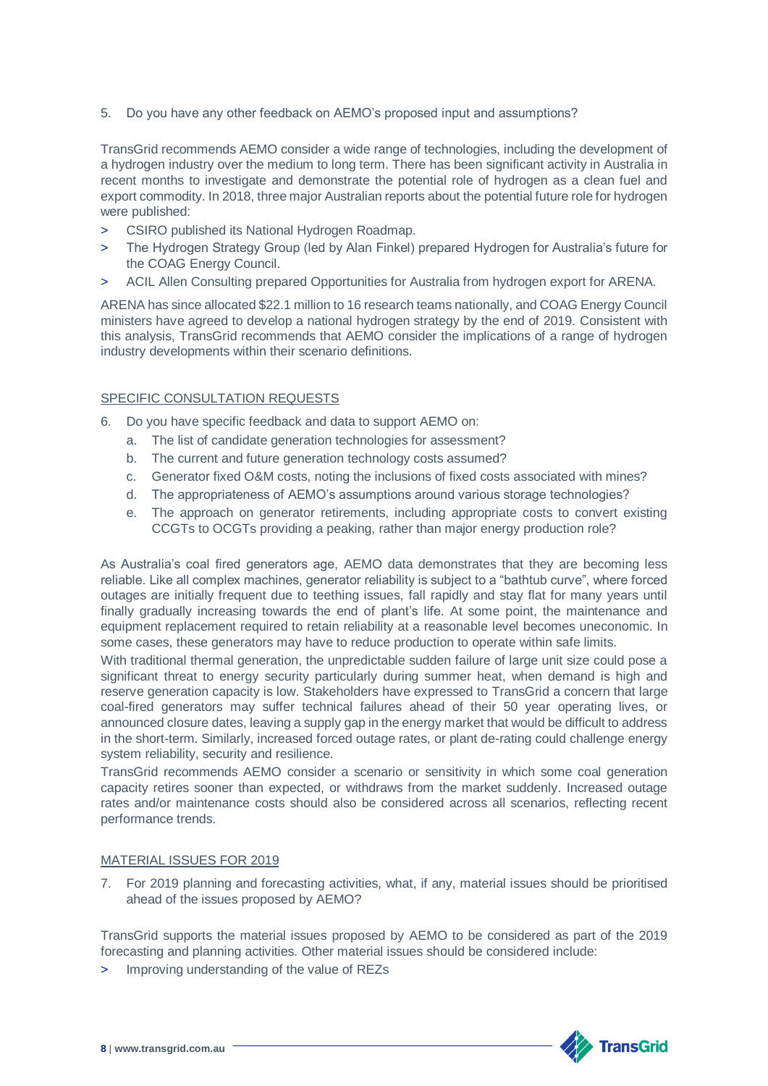5. Do you have any other feedback on AEMO's proposed input and assumptions?

TransGrid recommends AEMO consider a wide range of technologies, including the development of a hydrogen industry over the medium to long term. There has been significant activity in Australia in recent months to investigate and demonstrate the potential role of hydrogen as a clean fuel and export commodity. In 2018, three major Australian reports about the potential future role for hydrogen were published:

- > CSIRO published its National Hydrogen Roadmap.
- > The Hydrogen Strategy Group (led by Alan Finkel) prepared Hydrogen for Australia's future for the COAG Energy Council.
- ACIL Allen Consulting prepared Opportunities for Australia from hydrogen export for ARENA.

ARENA has since allocated \$22.1 million to 16 research teams nationally, and COAG Energy Council ministers have agreed to develop a national hydrogen strategy by the end of 2019. Consistent with this analysis, TransGrid recommends that AEMO consider the implications of a range of hydrogen industry developments within their scenario definitions.

# SPECIFIC CONSULTATION REQUESTS

- 6. Do you have specific feedback and data to support AEMO on:
	- a. The list of candidate generation technologies for assessment?
	- b. The current and future generation technology costs assumed?
	- c. Generator fixed O&M costs, noting the inclusions of fixed costs associated with mines?
	- d. The appropriateness of AEMO's assumptions around various storage technologies?
	- e. The approach on generator retirements, including appropriate costs to convert existing CCGTs to OCGTs providing a peaking, rather than major energy production role?

As Australia's coal fired generators age, AEMO data demonstrates that they are becoming less reliable. Like all complex machines, generator reliability is subject to a "bathtub curve", where forced outages are initially frequent due to teething issues, fall rapidly and stay flat for many years until finally gradually increasing towards the end of plant's life. At some point, the maintenance and equipment replacement required to retain reliability at a reasonable level becomes uneconomic. In some cases, these generators may have to reduce production to operate within safe limits.

With traditional thermal generation, the unpredictable sudden failure of large unit size could pose a significant threat to energy security particularly during summer heat, when demand is high and reserve generation capacity is low. Stakeholders have expressed to TransGrid a concern that large coal-fired generators may suffer technical failures ahead of their 50 year operating lives, or announced closure dates, leaving a supply gap in the energy market that would be difficult to address in the short-term. Similarly, increased forced outage rates, or plant de-rating could challenge energy system reliability, security and resilience.

TransGrid recommends AEMO consider a scenario or sensitivity in which some coal generation capacity retires sooner than expected, or withdraws from the market suddenly. Increased outage rates and/or maintenance costs should also be considered across all scenarios, reflecting recent performance trends.

## MATERIAL ISSUES FOR 2019

7. For 2019 planning and forecasting activities, what, if any, material issues should be prioritised ahead of the issues proposed by AEMO?

TransGrid supports the material issues proposed by AEMO to be considered as part of the 2019 forecasting and planning activities. Other material issues should be considered include:

> Improving understanding of the value of REZs

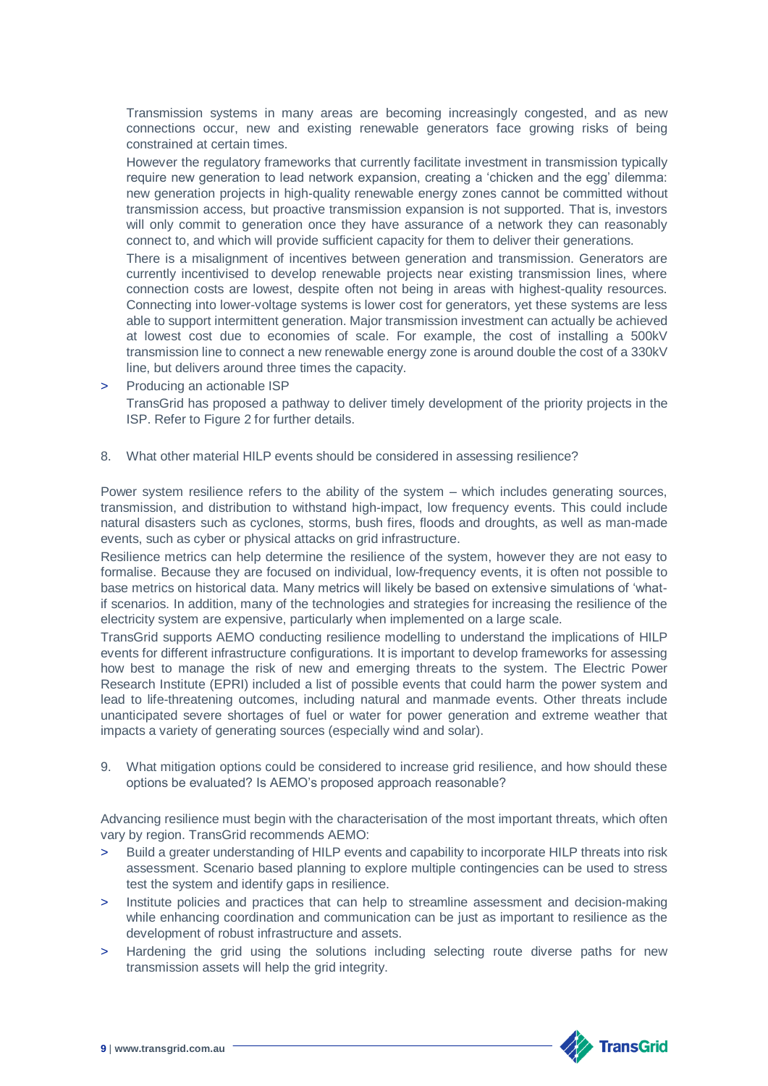Transmission systems in many areas are becoming increasingly congested, and as new connections occur, new and existing renewable generators face growing risks of being constrained at certain times.

However the regulatory frameworks that currently facilitate investment in transmission typically require new generation to lead network expansion, creating a 'chicken and the egg' dilemma: new generation projects in high-quality renewable energy zones cannot be committed without transmission access, but proactive transmission expansion is not supported. That is, investors will only commit to generation once they have assurance of a network they can reasonably connect to, and which will provide sufficient capacity for them to deliver their generations.

There is a misalignment of incentives between generation and transmission. Generators are currently incentivised to develop renewable projects near existing transmission lines, where connection costs are lowest, despite often not being in areas with highest-quality resources. Connecting into lower-voltage systems is lower cost for generators, yet these systems are less able to support intermittent generation. Major transmission investment can actually be achieved at lowest cost due to economies of scale. For example, the cost of installing a 500kV transmission line to connect a new renewable energy zone is around double the cost of a 330kV line, but delivers around three times the capacity.

- Producing an actionable ISP TransGrid has proposed a pathway to deliver timely development of the priority projects in the ISP. Refer to Figure 2 for further details.
- 8. What other material HILP events should be considered in assessing resilience?

Power system resilience refers to the ability of the system – which includes generating sources, transmission, and distribution to withstand high-impact, low frequency events. This could include natural disasters such as cyclones, storms, bush fires, floods and droughts, as well as man-made events, such as cyber or physical attacks on grid infrastructure.

Resilience metrics can help determine the resilience of the system, however they are not easy to formalise. Because they are focused on individual, low-frequency events, it is often not possible to base metrics on historical data. Many metrics will likely be based on extensive simulations of 'whatif scenarios. In addition, many of the technologies and strategies for increasing the resilience of the electricity system are expensive, particularly when implemented on a large scale.

TransGrid supports AEMO conducting resilience modelling to understand the implications of HILP events for different infrastructure configurations. It is important to develop frameworks for assessing how best to manage the risk of new and emerging threats to the system. The Electric Power Research Institute (EPRI) included a list of possible events that could harm the power system and lead to life-threatening outcomes, including natural and manmade events. Other threats include unanticipated severe shortages of fuel or water for power generation and extreme weather that impacts a variety of generating sources (especially wind and solar).

9. What mitigation options could be considered to increase grid resilience, and how should these options be evaluated? Is AEMO's proposed approach reasonable?

Advancing resilience must begin with the characterisation of the most important threats, which often vary by region. TransGrid recommends AEMO:

- Build a greater understanding of HILP events and capability to incorporate HILP threats into risk assessment. Scenario based planning to explore multiple contingencies can be used to stress test the system and identify gaps in resilience.
- > Institute policies and practices that can help to streamline assessment and decision-making while enhancing coordination and communication can be just as important to resilience as the development of robust infrastructure and assets.
- Hardening the grid using the solutions including selecting route diverse paths for new transmission assets will help the grid integrity.